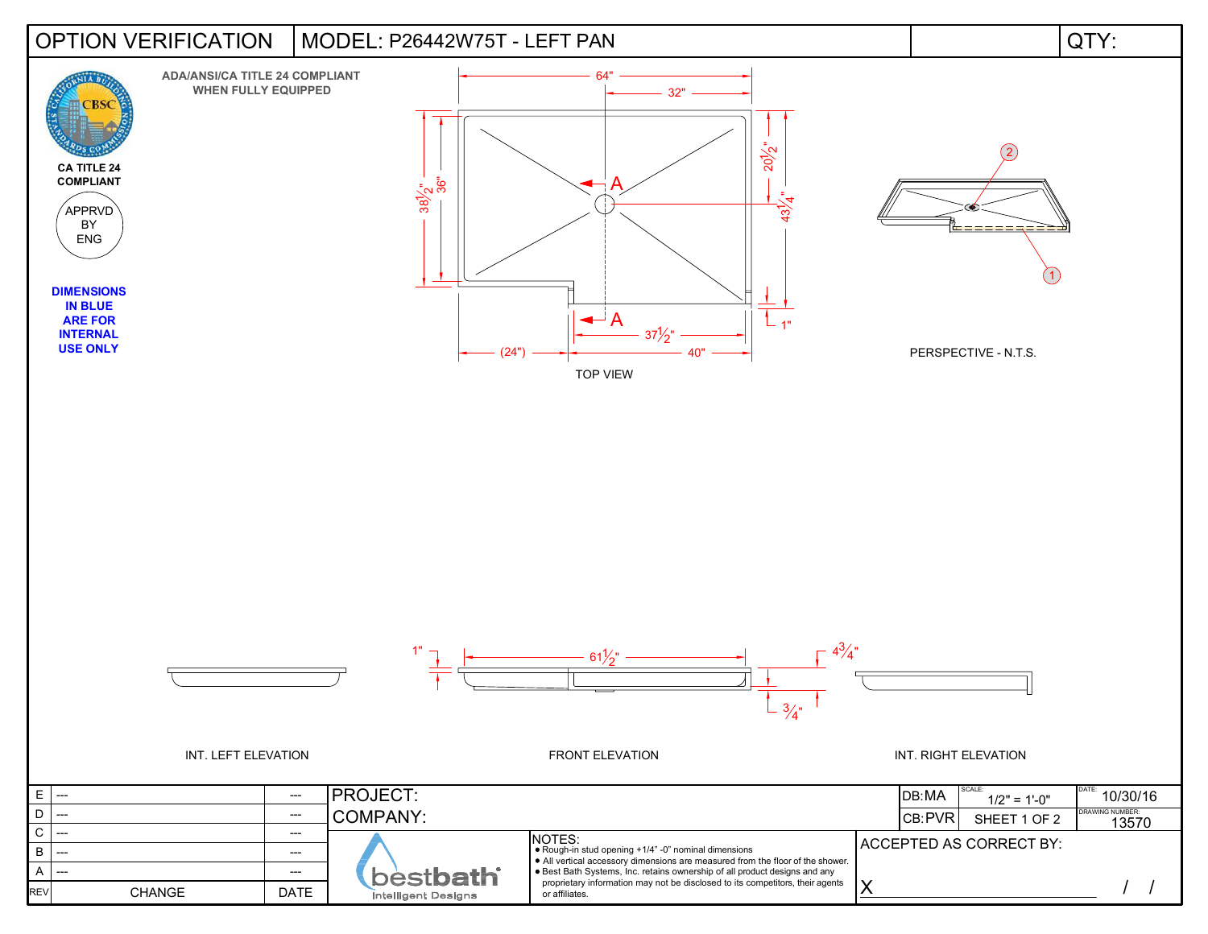